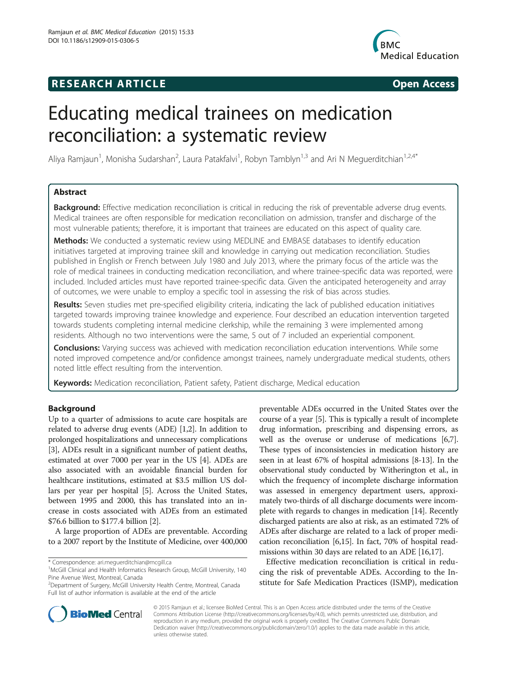# **RESEARCH ARTICLE Example 2014 CONSIDERING CONSIDERING CONSIDERING CONSIDERING CONSIDERING CONSIDERING CONSIDERING CONSIDERING CONSIDERING CONSIDERING CONSIDERING CONSIDERING CONSIDERING CONSIDERING CONSIDERING CONSIDE**



# Educating medical trainees on medication reconciliation: a systematic review

Aliya Ramjaun<sup>1</sup>, Monisha Sudarshan<sup>2</sup>, Laura Patakfalvi<sup>1</sup>, Robyn Tamblyn<sup>1,3</sup> and Ari N Meguerditchian<sup>1,2,4\*</sup>

# Abstract

Background: Effective medication reconciliation is critical in reducing the risk of preventable adverse drug events. Medical trainees are often responsible for medication reconciliation on admission, transfer and discharge of the most vulnerable patients; therefore, it is important that trainees are educated on this aspect of quality care.

Methods: We conducted a systematic review using MEDLINE and EMBASE databases to identify education initiatives targeted at improving trainee skill and knowledge in carrying out medication reconciliation. Studies published in English or French between July 1980 and July 2013, where the primary focus of the article was the role of medical trainees in conducting medication reconciliation, and where trainee-specific data was reported, were included. Included articles must have reported trainee-specific data. Given the anticipated heterogeneity and array of outcomes, we were unable to employ a specific tool in assessing the risk of bias across studies.

Results: Seven studies met pre-specified eligibility criteria, indicating the lack of published education initiatives targeted towards improving trainee knowledge and experience. Four described an education intervention targeted towards students completing internal medicine clerkship, while the remaining 3 were implemented among residents. Although no two interventions were the same, 5 out of 7 included an experiential component.

**Conclusions:** Varying success was achieved with medication reconciliation education interventions. While some noted improved competence and/or confidence amongst trainees, namely undergraduate medical students, others noted little effect resulting from the intervention.

Keywords: Medication reconciliation, Patient safety, Patient discharge, Medical education

# Background

Up to a quarter of admissions to acute care hospitals are related to adverse drug events (ADE) [\[1,2\]](#page-7-0). In addition to prolonged hospitalizations and unnecessary complications [[3\]](#page-7-0), ADEs result in a significant number of patient deaths, estimated at over 7000 per year in the US [[4\]](#page-7-0). ADEs are also associated with an avoidable financial burden for healthcare institutions, estimated at \$3.5 million US dollars per year per hospital [\[5\]](#page-7-0). Across the United States, between 1995 and 2000, this has translated into an increase in costs associated with ADEs from an estimated \$76.6 billion to \$177.4 billion [[2\]](#page-7-0).

A large proportion of ADEs are preventable. According to a 2007 report by the Institute of Medicine, over 400,000

preventable ADEs occurred in the United States over the course of a year [[5](#page-7-0)]. This is typically a result of incomplete drug information, prescribing and dispensing errors, as well as the overuse or underuse of medications [[6,7](#page-7-0)]. These types of inconsistencies in medication history are seen in at least 67% of hospital admissions [\[8-13\]](#page-7-0). In the observational study conducted by Witherington et al., in which the frequency of incomplete discharge information was assessed in emergency department users, approximately two-thirds of all discharge documents were incomplete with regards to changes in medication [[14](#page-7-0)]. Recently discharged patients are also at risk, as an estimated 72% of ADEs after discharge are related to a lack of proper medication reconciliation [[6,15](#page-7-0)]. In fact, 70% of hospital readmissions within 30 days are related to an ADE [[16,17\]](#page-7-0).

Effective medication reconciliation is critical in reducing the risk of preventable ADEs. According to the Institute for Safe Medication Practices (ISMP), medication



© 2015 Ramjaun et al.; licensee BioMed Central. This is an Open Access article distributed under the terms of the Creative Commons Attribution License [\(http://creativecommons.org/licenses/by/4.0\)](http://creativecommons.org/licenses/by/4.0), which permits unrestricted use, distribution, and reproduction in any medium, provided the original work is properly credited. The Creative Commons Public Domain Dedication waiver [\(http://creativecommons.org/publicdomain/zero/1.0/](http://creativecommons.org/publicdomain/zero/1.0/)) applies to the data made available in this article, unless otherwise stated.

<sup>\*</sup> Correspondence: [ari.meguerditchian@mcgill.ca](mailto:ari.meguerditchian@mcgill.ca) <sup>1</sup>

McGill Clinical and Health Informatics Research Group, McGill University, 140 Pine Avenue West, Montreal, Canada

<sup>&</sup>lt;sup>2</sup>Department of Surgery, McGill University Health Centre, Montreal, Canada Full list of author information is available at the end of the article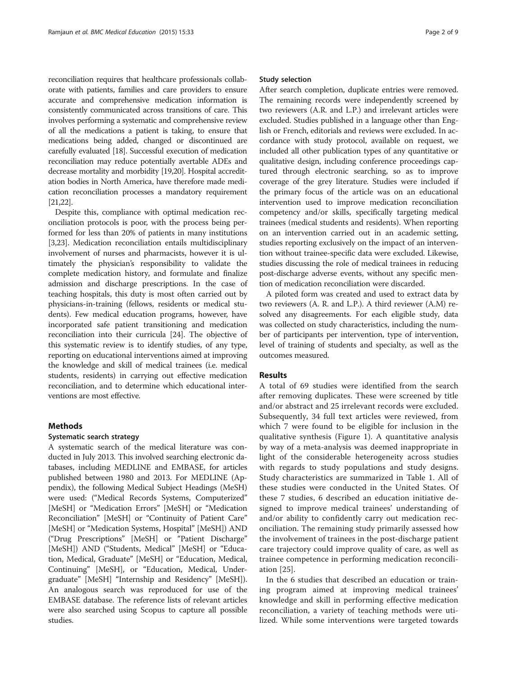reconciliation requires that healthcare professionals collaborate with patients, families and care providers to ensure accurate and comprehensive medication information is consistently communicated across transitions of care. This involves performing a systematic and comprehensive review of all the medications a patient is taking, to ensure that medications being added, changed or discontinued are carefully evaluated [\[18\]](#page-7-0). Successful execution of medication reconciliation may reduce potentially avertable ADEs and decrease mortality and morbidity [\[19,20](#page-7-0)]. Hospital accreditation bodies in North America, have therefore made medication reconciliation processes a mandatory requirement [[21,22\]](#page-7-0).

Despite this, compliance with optimal medication reconciliation protocols is poor, with the process being performed for less than 20% of patients in many institutions [[3,23](#page-7-0)]. Medication reconciliation entails multidisciplinary involvement of nurses and pharmacists, however it is ultimately the physician's responsibility to validate the complete medication history, and formulate and finalize admission and discharge prescriptions. In the case of teaching hospitals, this duty is most often carried out by physicians-in-training (fellows, residents or medical students). Few medical education programs, however, have incorporated safe patient transitioning and medication reconciliation into their curricula [[24](#page-7-0)]. The objective of this systematic review is to identify studies, of any type, reporting on educational interventions aimed at improving the knowledge and skill of medical trainees (i.e. medical students, residents) in carrying out effective medication reconciliation, and to determine which educational interventions are most effective.

### Methods

### Systematic search strategy

A systematic search of the medical literature was conducted in July 2013. This involved searching electronic databases, including MEDLINE and EMBASE, for articles published between 1980 and 2013. For MEDLINE [\(Ap](#page-6-0)[pendix\)](#page-6-0), the following Medical Subject Headings (MeSH) were used: ("Medical Records Systems, Computerized" [MeSH] or "Medication Errors" [MeSH] or "Medication Reconciliation" [MeSH] or "Continuity of Patient Care" [MeSH] or "Medication Systems, Hospital" [MeSH]) AND ("Drug Prescriptions" [MeSH] or "Patient Discharge" [MeSH]) AND ("Students, Medical" [MeSH] or "Education, Medical, Graduate" [MeSH] or "Education, Medical, Continuing" [MeSH], or "Education, Medical, Undergraduate" [MeSH] "Internship and Residency" [MeSH]). An analogous search was reproduced for use of the EMBASE database. The reference lists of relevant articles were also searched using Scopus to capture all possible studies.

#### Study selection

After search completion, duplicate entries were removed. The remaining records were independently screened by two reviewers (A.R. and L.P.) and irrelevant articles were excluded. Studies published in a language other than English or French, editorials and reviews were excluded. In accordance with study protocol, available on request, we included all other publication types of any quantitative or qualitative design, including conference proceedings captured through electronic searching, so as to improve coverage of the grey literature. Studies were included if the primary focus of the article was on an educational intervention used to improve medication reconciliation competency and/or skills, specifically targeting medical trainees (medical students and residents). When reporting on an intervention carried out in an academic setting, studies reporting exclusively on the impact of an intervention without trainee-specific data were excluded. Likewise, studies discussing the role of medical trainees in reducing post-discharge adverse events, without any specific mention of medication reconciliation were discarded.

A piloted form was created and used to extract data by two reviewers (A. R. and L.P.). A third reviewer (A.M) resolved any disagreements. For each eligible study, data was collected on study characteristics, including the number of participants per intervention, type of intervention, level of training of students and specialty, as well as the outcomes measured.

#### Results

A total of 69 studies were identified from the search after removing duplicates. These were screened by title and/or abstract and 25 irrelevant records were excluded. Subsequently, 34 full text articles were reviewed, from which 7 were found to be eligible for inclusion in the qualitative synthesis (Figure [1](#page-2-0)). A quantitative analysis by way of a meta-analysis was deemed inappropriate in light of the considerable heterogeneity across studies with regards to study populations and study designs. Study characteristics are summarized in Table [1.](#page-3-0) All of these studies were conducted in the United States. Of these 7 studies, 6 described an education initiative designed to improve medical trainees' understanding of and/or ability to confidently carry out medication reconciliation. The remaining study primarily assessed how the involvement of trainees in the post-discharge patient care trajectory could improve quality of care, as well as trainee competence in performing medication reconciliation [[25\]](#page-7-0).

In the 6 studies that described an education or training program aimed at improving medical trainees' knowledge and skill in performing effective medication reconciliation, a variety of teaching methods were utilized. While some interventions were targeted towards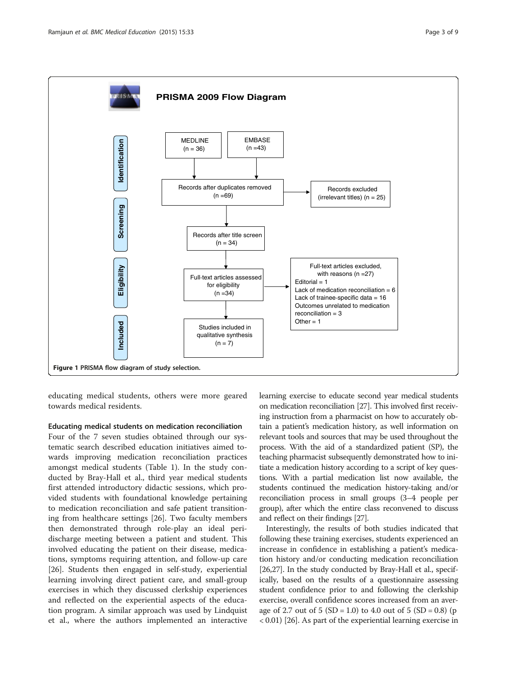<span id="page-2-0"></span>

educating medical students, others were more geared towards medical residents.

### Educating medical students on medication reconciliation

Four of the 7 seven studies obtained through our systematic search described education initiatives aimed towards improving medication reconciliation practices amongst medical students (Table [1\)](#page-3-0). In the study conducted by Bray-Hall et al., third year medical students first attended introductory didactic sessions, which provided students with foundational knowledge pertaining to medication reconciliation and safe patient transitioning from healthcare settings [[26](#page-7-0)]. Two faculty members then demonstrated through role-play an ideal peridischarge meeting between a patient and student. This involved educating the patient on their disease, medications, symptoms requiring attention, and follow-up care [[26\]](#page-7-0). Students then engaged in self-study, experiential learning involving direct patient care, and small-group exercises in which they discussed clerkship experiences and reflected on the experiential aspects of the education program. A similar approach was used by Lindquist et al., where the authors implemented an interactive learning exercise to educate second year medical students on medication reconciliation [\[27\]](#page-7-0). This involved first receiving instruction from a pharmacist on how to accurately obtain a patient's medication history, as well information on relevant tools and sources that may be used throughout the process. With the aid of a standardized patient (SP), the teaching pharmacist subsequently demonstrated how to initiate a medication history according to a script of key questions. With a partial medication list now available, the students continued the medication history-taking and/or reconciliation process in small groups (3–4 people per group), after which the entire class reconvened to discuss and reflect on their findings [\[27](#page-7-0)].

Interestingly, the results of both studies indicated that following these training exercises, students experienced an increase in confidence in establishing a patient's medication history and/or conducting medication reconciliation [[26,27](#page-7-0)]. In the study conducted by Bray-Hall et al., specifically, based on the results of a questionnaire assessing student confidence prior to and following the clerkship exercise, overall confidence scores increased from an average of 2.7 out of 5 (SD = 1.0) to 4.0 out of 5 (SD = 0.8) (p < 0.01) [\[26\]](#page-7-0). As part of the experiential learning exercise in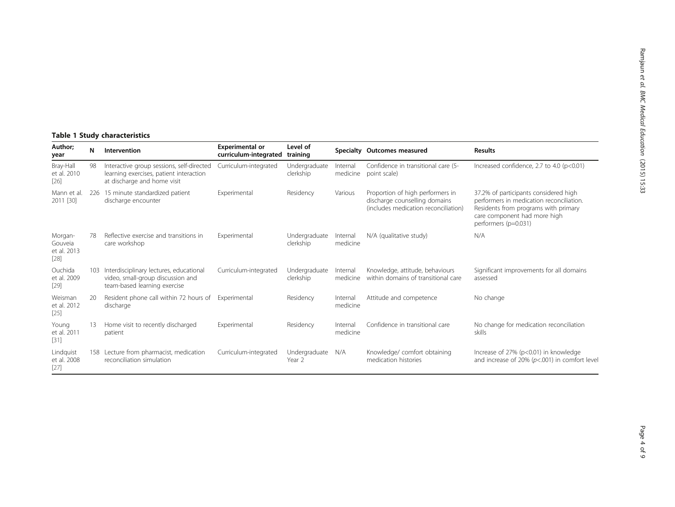# <span id="page-3-0"></span>Table 1 Study characteristics

| Author;<br>year                             | N   | Intervention                                                                                                        | <b>Experimental or</b><br>curriculum-integrated | Level of<br>training       |                      | Specialty Outcomes measured                                                                               | <b>Results</b>                                                                                                                                                                    |
|---------------------------------------------|-----|---------------------------------------------------------------------------------------------------------------------|-------------------------------------------------|----------------------------|----------------------|-----------------------------------------------------------------------------------------------------------|-----------------------------------------------------------------------------------------------------------------------------------------------------------------------------------|
| Bray-Hall<br>et al. 2010<br>$[26]$          | 98  | Interactive group sessions, self-directed<br>learning exercises, patient interaction<br>at discharge and home visit | Curriculum-integrated                           | Undergraduate<br>clerkship | Internal<br>medicine | Confidence in transitional care (5-<br>point scale)                                                       | Increased confidence, 2.7 to 4.0 ( $p<0.01$ )                                                                                                                                     |
| Mann et al.<br>2011 [30]                    |     | 226 15 minute standardized patient<br>discharge encounter                                                           | Experimental                                    | Residency                  | Various              | Proportion of high performers in<br>discharge counselling domains<br>(includes medication reconciliation) | 37.2% of participants considered high<br>performers in medication reconciliation.<br>Residents from programs with primary<br>care component had more high<br>performers (p=0.031) |
| Morgan-<br>Gouveia<br>et al. 2013<br>$[28]$ | 78  | Reflective exercise and transitions in<br>care workshop                                                             | Experimental                                    | Undergraduate<br>clerkship | Internal<br>medicine | N/A (qualitative study)                                                                                   | N/A                                                                                                                                                                               |
| Ouchida<br>et al. 2009<br>$[29]$            | 103 | Interdisciplinary lectures, educational<br>video, small-group discussion and<br>team-based learning exercise        | Curriculum-integrated                           | Undergraduate<br>clerkship | Internal<br>medicine | Knowledge, attitude, behaviours<br>within domains of transitional care                                    | Significant improvements for all domains<br>assessed                                                                                                                              |
| Weisman<br>et al. 2012<br>$[25]$            | 20  | Resident phone call within 72 hours of<br>discharge                                                                 | Experimental                                    | Residency                  | Internal<br>medicine | Attitude and competence                                                                                   | No change                                                                                                                                                                         |
| Young<br>et al. 2011<br>$[31]$              | 13  | Home visit to recently discharged<br>patient                                                                        | Experimental                                    | Residency                  | Internal<br>medicine | Confidence in transitional care                                                                           | No change for medication reconciliation<br>skills                                                                                                                                 |
| Lindquist<br>et al. 2008<br>$[27]$          | 158 | Lecture from pharmacist, medication<br>reconciliation simulation                                                    | Curriculum-integrated                           | Undergraduate<br>Year 2    | N/A                  | Knowledge/ comfort obtaining<br>medication histories                                                      | Increase of 27% (p<0.01) in knowledge<br>and increase of 20% ( $p<.001$ ) in comfort level                                                                                        |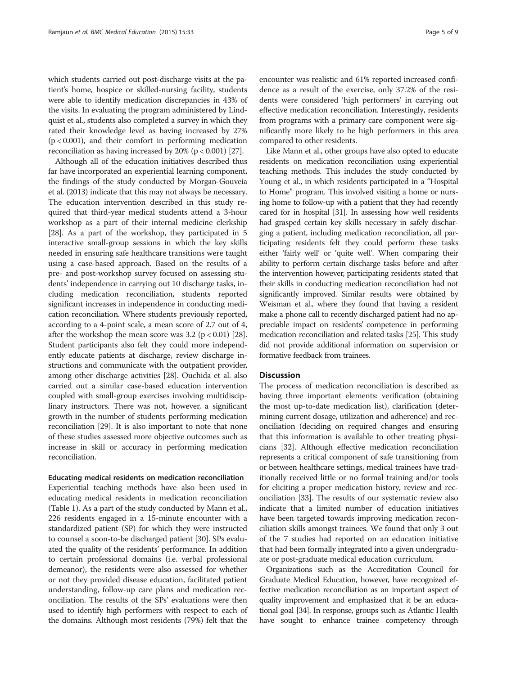which students carried out post-discharge visits at the patient's home, hospice or skilled-nursing facility, students were able to identify medication discrepancies in 43% of the visits. In evaluating the program administered by Lindquist et al., students also completed a survey in which they rated their knowledge level as having increased by 27%  $(p < 0.001)$ , and their comfort in performing medication reconciliation as having increased by 20% (p < 0.001) [[27](#page-7-0)].

Although all of the education initiatives described thus far have incorporated an experiential learning component, the findings of the study conducted by Morgan-Gouveia et al. (2013) indicate that this may not always be necessary. The education intervention described in this study required that third-year medical students attend a 3-hour workshop as a part of their internal medicine clerkship [[28](#page-7-0)]. As a part of the workshop, they participated in 5 interactive small-group sessions in which the key skills needed in ensuring safe healthcare transitions were taught using a case-based approach. Based on the results of a pre- and post-workshop survey focused on assessing students' independence in carrying out 10 discharge tasks, including medication reconciliation, students reported significant increases in independence in conducting medication reconciliation. Where students previously reported, according to a 4-point scale, a mean score of 2.7 out of 4, after the workshop the mean score was  $3.2$  ( $p < 0.01$ ) [[28](#page-7-0)]. Student participants also felt they could more independently educate patients at discharge, review discharge instructions and communicate with the outpatient provider, among other discharge activities [\[28\]](#page-7-0). Ouchida et al. also carried out a similar case-based education intervention coupled with small-group exercises involving multidisciplinary instructors. There was not, however, a significant growth in the number of students performing medication reconciliation [[29](#page-7-0)]. It is also important to note that none of these studies assessed more objective outcomes such as increase in skill or accuracy in performing medication reconciliation.

Educating medical residents on medication reconciliation Experiential teaching methods have also been used in educating medical residents in medication reconciliation (Table [1](#page-3-0)). As a part of the study conducted by Mann et al., 226 residents engaged in a 15-minute encounter with a standardized patient (SP) for which they were instructed to counsel a soon-to-be discharged patient [\[30\]](#page-7-0). SPs evaluated the quality of the residents' performance. In addition to certain professional domains (i.e. verbal professional demeanor), the residents were also assessed for whether or not they provided disease education, facilitated patient understanding, follow-up care plans and medication reconciliation. The results of the SPs' evaluations were then used to identify high performers with respect to each of the domains. Although most residents (79%) felt that the

encounter was realistic and 61% reported increased confidence as a result of the exercise, only 37.2% of the residents were considered 'high performers' in carrying out effective medication reconciliation. Interestingly, residents from programs with a primary care component were significantly more likely to be high performers in this area compared to other residents.

Like Mann et al., other groups have also opted to educate residents on medication reconciliation using experiential teaching methods. This includes the study conducted by Young et al., in which residents participated in a "Hospital to Home" program. This involved visiting a home or nursing home to follow-up with a patient that they had recently cared for in hospital [\[31](#page-7-0)]. In assessing how well residents had grasped certain key skills necessary in safely discharging a patient, including medication reconciliation, all participating residents felt they could perform these tasks either 'fairly well' or 'quite well'. When comparing their ability to perform certain discharge tasks before and after the intervention however, participating residents stated that their skills in conducting medication reconciliation had not significantly improved. Similar results were obtained by Weisman et al., where they found that having a resident make a phone call to recently discharged patient had no appreciable impact on residents' competence in performing medication reconciliation and related tasks [[25](#page-7-0)]. This study did not provide additional information on supervision or formative feedback from trainees.

#### **Discussion**

The process of medication reconciliation is described as having three important elements: verification (obtaining the most up-to-date medication list), clarification (determining current dosage, utilization and adherence) and reconciliation (deciding on required changes and ensuring that this information is available to other treating physicians [\[32\]](#page-7-0). Although effective medication reconciliation represents a critical component of safe transitioning from or between healthcare settings, medical trainees have traditionally received little or no formal training and/or tools for eliciting a proper medication history, review and reconciliation [\[33](#page-7-0)]. The results of our systematic review also indicate that a limited number of education initiatives have been targeted towards improving medication reconciliation skills amongst trainees. We found that only 3 out of the 7 studies had reported on an education initiative that had been formally integrated into a given undergraduate or post-graduate medical education curriculum.

Organizations such as the Accreditation Council for Graduate Medical Education, however, have recognized effective medication reconciliation as an important aspect of quality improvement and emphasized that it be an educational goal [\[34](#page-7-0)]. In response, groups such as Atlantic Health have sought to enhance trainee competency through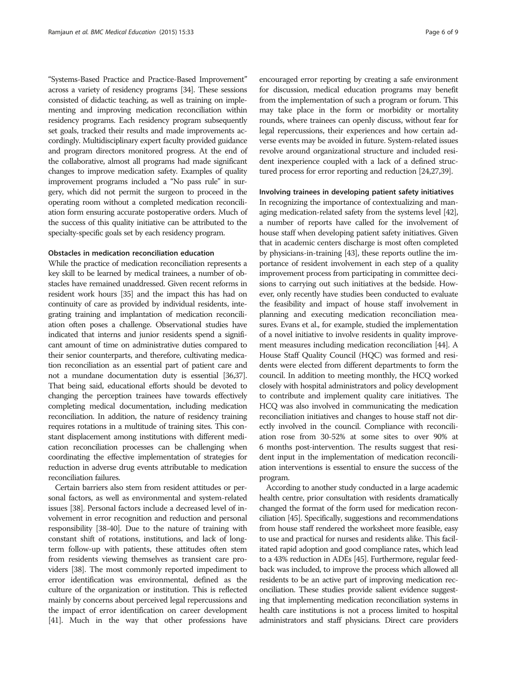"Systems-Based Practice and Practice-Based Improvement" across a variety of residency programs [\[34](#page-7-0)]. These sessions consisted of didactic teaching, as well as training on implementing and improving medication reconciliation within residency programs. Each residency program subsequently set goals, tracked their results and made improvements accordingly. Multidisciplinary expert faculty provided guidance and program directors monitored progress. At the end of the collaborative, almost all programs had made significant changes to improve medication safety. Examples of quality improvement programs included a "No pass rule" in surgery, which did not permit the surgeon to proceed in the operating room without a completed medication reconciliation form ensuring accurate postoperative orders. Much of the success of this quality initiative can be attributed to the specialty-specific goals set by each residency program.

# Obstacles in medication reconciliation education

While the practice of medication reconciliation represents a key skill to be learned by medical trainees, a number of obstacles have remained unaddressed. Given recent reforms in resident work hours [[35\]](#page-7-0) and the impact this has had on continuity of care as provided by individual residents, integrating training and implantation of medication reconciliation often poses a challenge. Observational studies have indicated that interns and junior residents spend a significant amount of time on administrative duties compared to their senior counterparts, and therefore, cultivating medication reconciliation as an essential part of patient care and not a mundane documentation duty is essential [\[36,37\]](#page-8-0). That being said, educational efforts should be devoted to changing the perception trainees have towards effectively completing medical documentation, including medication reconciliation. In addition, the nature of residency training requires rotations in a multitude of training sites. This constant displacement among institutions with different medication reconciliation processes can be challenging when coordinating the effective implementation of strategies for reduction in adverse drug events attributable to medication reconciliation failures.

Certain barriers also stem from resident attitudes or personal factors, as well as environmental and system-related issues [\[38\]](#page-8-0). Personal factors include a decreased level of involvement in error recognition and reduction and personal responsibility [[38](#page-8-0)-[40\]](#page-8-0). Due to the nature of training with constant shift of rotations, institutions, and lack of longterm follow-up with patients, these attitudes often stem from residents viewing themselves as transient care providers [[38](#page-8-0)]. The most commonly reported impediment to error identification was environmental, defined as the culture of the organization or institution. This is reflected mainly by concerns about perceived legal repercussions and the impact of error identification on career development [[41](#page-8-0)]. Much in the way that other professions have

encouraged error reporting by creating a safe environment for discussion, medical education programs may benefit from the implementation of such a program or forum. This may take place in the form or morbidity or mortality rounds, where trainees can openly discuss, without fear for legal repercussions, their experiences and how certain adverse events may be avoided in future. System-related issues revolve around organizational structure and included resident inexperience coupled with a lack of a defined structured process for error reporting and reduction [\[24,27,](#page-7-0)[39](#page-8-0)].

#### Involving trainees in developing patient safety initiatives

In recognizing the importance of contextualizing and managing medication-related safety from the systems level [\[42](#page-8-0)], a number of reports have called for the involvement of house staff when developing patient safety initiatives. Given that in academic centers discharge is most often completed by physicians-in-training [[43](#page-8-0)], these reports outline the importance of resident involvement in each step of a quality improvement process from participating in committee decisions to carrying out such initiatives at the bedside. However, only recently have studies been conducted to evaluate the feasibility and impact of house staff involvement in planning and executing medication reconciliation measures. Evans et al., for example, studied the implementation of a novel initiative to involve residents in quality improvement measures including medication reconciliation [\[44](#page-8-0)]. A House Staff Quality Council (HQC) was formed and residents were elected from different departments to form the council. In addition to meeting monthly, the HCQ worked closely with hospital administrators and policy development to contribute and implement quality care initiatives. The HCQ was also involved in communicating the medication reconciliation initiatives and changes to house staff not directly involved in the council. Compliance with reconciliation rose from 30-52% at some sites to over 90% at 6 months post-intervention. The results suggest that resident input in the implementation of medication reconciliation interventions is essential to ensure the success of the program.

According to another study conducted in a large academic health centre, prior consultation with residents dramatically changed the format of the form used for medication reconciliation [\[45](#page-8-0)]. Specifically, suggestions and recommendations from house staff rendered the worksheet more feasible, easy to use and practical for nurses and residents alike. This facilitated rapid adoption and good compliance rates, which lead to a 43% reduction in ADEs [[45\]](#page-8-0). Furthermore, regular feedback was included, to improve the process which allowed all residents to be an active part of improving medication reconciliation. These studies provide salient evidence suggesting that implementing medication reconciliation systems in health care institutions is not a process limited to hospital administrators and staff physicians. Direct care providers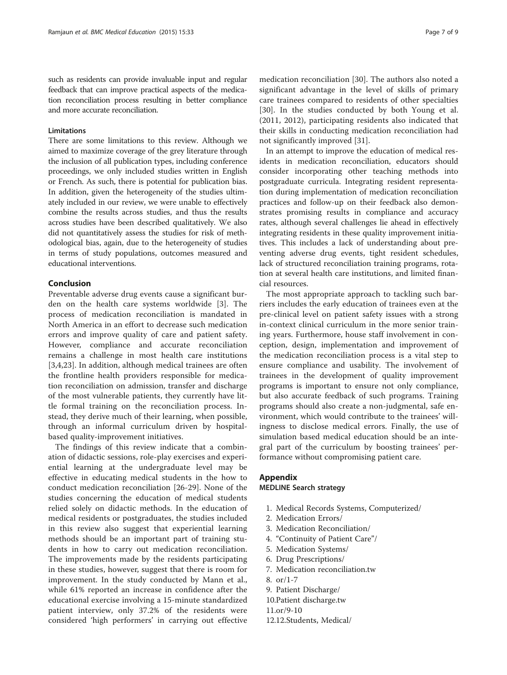<span id="page-6-0"></span>such as residents can provide invaluable input and regular feedback that can improve practical aspects of the medication reconciliation process resulting in better compliance and more accurate reconciliation.

## Limitations

There are some limitations to this review. Although we aimed to maximize coverage of the grey literature through the inclusion of all publication types, including conference proceedings, we only included studies written in English or French. As such, there is potential for publication bias. In addition, given the heterogeneity of the studies ultimately included in our review, we were unable to effectively combine the results across studies, and thus the results across studies have been described qualitatively. We also did not quantitatively assess the studies for risk of methodological bias, again, due to the heterogeneity of studies in terms of study populations, outcomes measured and educational interventions.

# Conclusion

Preventable adverse drug events cause a significant burden on the health care systems worldwide [[3\]](#page-7-0). The process of medication reconciliation is mandated in North America in an effort to decrease such medication errors and improve quality of care and patient safety. However, compliance and accurate reconciliation remains a challenge in most health care institutions [[3,4,23](#page-7-0)]. In addition, although medical trainees are often the frontline health providers responsible for medication reconciliation on admission, transfer and discharge of the most vulnerable patients, they currently have little formal training on the reconciliation process. Instead, they derive much of their learning, when possible, through an informal curriculum driven by hospitalbased quality-improvement initiatives.

The findings of this review indicate that a combination of didactic sessions, role-play exercises and experiential learning at the undergraduate level may be effective in educating medical students in the how to conduct medication reconciliation [\[26](#page-7-0)-[29\]](#page-7-0). None of the studies concerning the education of medical students relied solely on didactic methods. In the education of medical residents or postgraduates, the studies included in this review also suggest that experiential learning methods should be an important part of training students in how to carry out medication reconciliation. The improvements made by the residents participating in these studies, however, suggest that there is room for improvement. In the study conducted by Mann et al., while 61% reported an increase in confidence after the educational exercise involving a 15-minute standardized patient interview, only 37.2% of the residents were considered 'high performers' in carrying out effective

medication reconciliation [[30\]](#page-7-0). The authors also noted a significant advantage in the level of skills of primary care trainees compared to residents of other specialties [[30\]](#page-7-0). In the studies conducted by both Young et al. (2011, 2012), participating residents also indicated that their skills in conducting medication reconciliation had not significantly improved [[31\]](#page-7-0).

In an attempt to improve the education of medical residents in medication reconciliation, educators should consider incorporating other teaching methods into postgraduate curricula. Integrating resident representation during implementation of medication reconciliation practices and follow-up on their feedback also demonstrates promising results in compliance and accuracy rates, although several challenges lie ahead in effectively integrating residents in these quality improvement initiatives. This includes a lack of understanding about preventing adverse drug events, tight resident schedules, lack of structured reconciliation training programs, rotation at several health care institutions, and limited financial resources.

The most appropriate approach to tackling such barriers includes the early education of trainees even at the pre-clinical level on patient safety issues with a strong in-context clinical curriculum in the more senior training years. Furthermore, house staff involvement in conception, design, implementation and improvement of the medication reconciliation process is a vital step to ensure compliance and usability. The involvement of trainees in the development of quality improvement programs is important to ensure not only compliance, but also accurate feedback of such programs. Training programs should also create a non-judgmental, safe environment, which would contribute to the trainees' willingness to disclose medical errors. Finally, the use of simulation based medical education should be an integral part of the curriculum by boosting trainees' performance without compromising patient care.

# Appendix

# MEDLINE Search strategy

- 1. Medical Records Systems, Computerized/
- 2. Medication Errors/
- 3. Medication Reconciliation/
- 4. "Continuity of Patient Care"/
- 5. Medication Systems/
- 6. Drug Prescriptions/
- 7. Medication reconciliation.tw
- 8. or/1-7
- 9. Patient Discharge/
- 10.Patient discharge.tw
- 11.or/9-10
- 12.12.Students, Medical/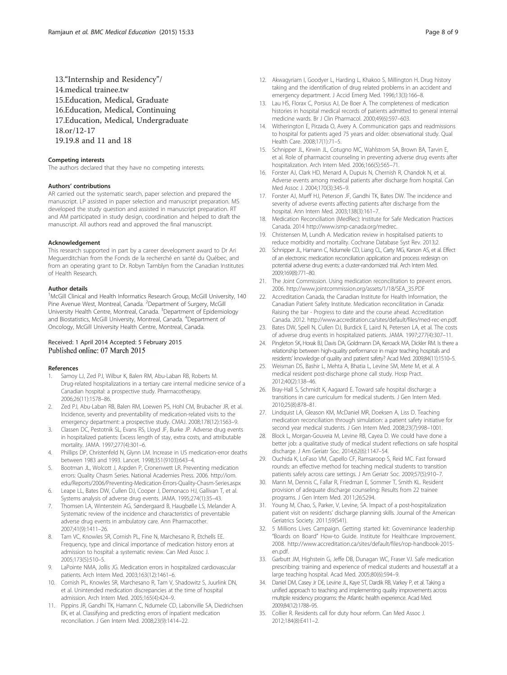<span id="page-7-0"></span>13."Internship and Residency"/ 14.medical trainee.tw 15.Education, Medical, Graduate 16.Education, Medical, Continuing 17.Education, Medical, Undergraduate 18.or/12-17 19.19.8 and 11 and 18

#### Competing interests

The authors declared that they have no competing interests.

#### Authors' contributions

AR carried out the systematic search, paper selection and prepared the manuscript. LP assisted in paper selection and manuscript preparation. MS developed the study question and assisted in manuscript preparation. RT and AM participated in study design, coordination and helped to draft the manuscript. All authors read and approved the final manuscript.

#### Acknowledgement

This research supported in part by a career development award to Dr Ari Meguerditchian from the Fonds de la recherché en santé du Québec, and from an operating grant to Dr. Robyn Tamblyn from the Canadian Institutes of Health Research.

#### Author details

<sup>1</sup>McGill Clinical and Health Informatics Research Group, McGill University, 140 Pine Avenue West, Montreal, Canada. <sup>2</sup>Department of Surgery, McGill University Health Centre, Montreal, Canada. <sup>3</sup>Department of Epidemiology and Biostatistics, McGill University, Montreal, Canada. <sup>4</sup>Department of Oncology, McGill University Health Centre, Montreal, Canada.

#### Received: 1 April 2014 Accepted: 5 February 2015 Published online: 07 March 2015

#### References

- Samoy LJ, Zed PJ, Wilbur K, Balen RM, Abu-Laban RB, Roberts M. Drug-related hospitalizations in a tertiary care internal medicine service of a Canadian hospital: a prospective study. Pharmacotherapy. 2006;26(11):1578–86.
- 2. Zed PJ, Abu-Laban RB, Balen RM, Loewen PS, Hohl CM, Brubacher JR, et al. Incidence, severity and preventability of medication-related visits to the emergency department: a prospective study. CMAJ. 2008;178(12):1563–9.
- 3. Classen DC, Pestotnik SL, Evans RS, Lloyd JF, Burke JP. Adverse drug events in hospitalized patients: Excess length of stay, extra costs, and attributable mortality. JAMA. 1997;277(4):301–6.
- 4. Phillips DP, Christenfeld N, Glynn LM. Increase in US medication-error deaths between 1983 and 1993. Lancet. 1998;351(9103):643–4.
- 5. Bootman JL, Wolcott J, Aspden P, Cronenwett LR. Preventing medication errors: Quality Chasm Series. National Academies Press. 2006. [http://iom.](http://iom.edu/Reports/2006/Preventing-Medication-Errors-Quality-Chasm-Series.aspx) [edu/Reports/2006/Preventing-Medication-Errors-Quality-Chasm-Series.aspx](http://iom.edu/Reports/2006/Preventing-Medication-Errors-Quality-Chasm-Series.aspx)
- 6. Leape LL, Bates DW, Cullen DJ, Cooper J, Demonaco HJ, Gallivan T, et al. Systems analysis of adverse drug events. JAMA. 1995;274(1):35–43.
- 7. Thomsen LA, Winterstein AG, Søndergaard B, Haugbølle LS, Melander A. Systematic review of the incidence and characteristics of preventable adverse drug events in ambulatory care. Ann Pharmacother. 2007;41(9):1411–26.
- 8. Tam VC, Knowles SR, Cornish PL, Fine N, Marchesano R, Etchells EE. Frequency, type and clinical importance of medication history errors at admission to hospital: a systematic review. Can Med Assoc J. 2005;173(5):510–5.
- 9. LaPointe NMA, Jollis JG. Medication errors in hospitalized cardiovascular patients. Arch Intern Med. 2003;163(12):1461–6.
- 10. Cornish PL, Knowles SR, Marchesano R, Tam V, Shadowitz S, Juurlink DN, et al. Unintended medication discrepancies at the time of hospital admission. Arch Intern Med. 2005;165(4):424–9.
- 11. Pippins JR, Gandhi TK, Hamann C, Ndumele CD, Labonville SA, Diedrichsen EK, et al. Classifying and predicting errors of inpatient medication reconciliation. J Gen Intern Med. 2008;23(9):1414–22.
- 12. Akwagyriam I, Goodyer L, Harding L, Khakoo S, Millington H. Drug history taking and the identification of drug related problems in an accident and emergency department. J Accid Emerg Med. 1996;13(3):166–8.
- 13. Lau HS, Florax C, Porsius AJ, De Boer A. The completeness of medication histories in hospital medical records of patients admitted to general internal medicine wards. Br J Clin Pharmacol. 2000;49(6):597–603.
- 14. Witherington E, Pirzada O, Avery A. Communication gaps and readmissions to hospital for patients aged 75 years and older: observational study. Qual Health Care. 2008;17(1):71–5.
- 15. Schnipper JL, Kirwin JL, Cotugno MC, Wahlstrom SA, Brown BA, Tarvin E, et al. Role of pharmacist counseling in preventing adverse drug events after hospitalization. Arch Intern Med. 2006;166(5):565–71.
- 16. Forster AJ, Clark HD, Menard A, Dupuis N, Chernish R, Chandok N, et al. Adverse events among medical patients after discharge from hospital. Can Med Assoc J. 2004;170(3):345–9.
- 17. Forster AJ, Murff HJ, Peterson JF, Gandhi TK, Bates DW. The incidence and severity of adverse events affecting patients after discharge from the hospital. Ann Intern Med. 2003;138(3):161–7.
- 18. Medication Reconciliation (MedRec): Institute for Safe Medication Practices Canada. 2014 [http://www.ismp-canada.org/medrec.](http://www.ismp-canada.org/medrec)
- 19. Christensen M, Lundh A. Medication review in hospitalised patients to reduce morbidity and mortality. Cochrane Database Syst Rev. 2013;2.
- 20. Schnipper JL, Hamann C, Ndumele CD, Liang CL, Carty MG, Karson AS, et al. Effect of an electronic medication reconciliation application and process redesign on potential adverse drug events: a cluster-randomized trial. Arch Intern Med. 2009;169(8):771–80.
- 21. The Joint Commission. Using medication reconcilitation to prevent errors. 2006. [http://www.jointcommission.org/assets/1/18/SEA\\_35.PDF](http://www.jointcommission.org/assets/1/18/SEA_35.PDF)
- 22. Accreditation Canada, the Canadian Institute for Health Information, the Canadian Patient Safety Institute. Medication reconcilitation in Canada: Raising the bar - Progress to date and the course ahead. Accreditation Canada. 2012.<http://www.accreditation.ca/sites/default/files/med-rec-en.pdf>.
- 23. Bates DW, Spell N, Cullen DJ, Burdick E, Laird N, Petersen LA, et al. The costs of adverse drug events in hospitalized patients. JAMA. 1997;277(4):307–11.
- 24. Pingleton SK, Horak BJ, Davis DA, Goldmann DA, Keroack MA, Dickler RM. Is there a relationship between high-quality performance in major teaching hospitals and residents' knowledge of quality and patient safety? Acad Med. 2009;84(11):1510–5.
- 25. Weisman DS, Bashir L, Mehta A, Bhatia L, Levine SM, Mete M, et al. A medical resident post-discharge phone call study. Hosp Pract. 2012;40(2):138–46.
- 26. Bray-Hall S, Schmidt K, Aagaard E. Toward safe hospital discharge: a transitions in care curriculum for medical students. J Gen Intern Med. 2010;25(8):878–81.
- 27. Lindquist LA, Gleason KM, McDaniel MR, Doeksen A, Liss D. Teaching medication reconciliation through simulation: a patient safety initiative for second year medical students. J Gen Intern Med. 2008;23(7):998–1001.
- 28. Block L, Morgan-Gouveia M, Levine RB, Cayea D. We could have done a better job: a qualitative study of medical student reflections on safe hospital discharge. J Am Geriatr Soc. 2014;62(6):1147–54.
- 29. Ouchida K, LoFaso VM, Capello CF, Ramsaroop S, Reid MC. Fast forward rounds: an effective method for teaching medical students to transition patients safely across care settings. J Am Geriatr Soc. 2009;57(5):910–7.
- 30. Mann M, Dennis C, Fallar R, Friedman E, Sommer T, Smith KL. Resident provision of adequate discharge counseling: Results from 22 trainee programs. J Gen Intern Med. 2011;26:S294.
- 31. Young M, Chao, S, Parker, V, Levine, SA. Impact of a post-hospitalization patient visit on residents' discharge planning skills. Journal of the American Geriatrics Society. 2011;59(S41).
- 32. 5 Millions Lives Campaign. Getting started kit: Governinance leadership "Boards on Board" How-to Guide. Institute for Healthcare Improvement. 2008. [http://www.accreditation.ca/sites/default/files/rop-handbook-2015](http://www.accreditation.ca/sites/default/files/rop-handbook-2015-en.pdf) [en.pdf](http://www.accreditation.ca/sites/default/files/rop-handbook-2015-en.pdf).
- 33. Garbutt JM, Highstein G, Jeffe DB, Dunagan WC, Fraser VJ. Safe medication prescribing: training and experience of medical students and housestaff at a large teaching hospital. Acad Med. 2005;80(6):594–9.
- 34. Daniel DM, Casey Jr DE, Levine JL, Kaye ST, Dardik RB, Varkey P, et al. Taking a unified approach to teaching and implementing quality improvements across multiple residency programs: the Atlantic health experience. Acad Med. 2009;84(12):1788–95.
- 35. Collier R. Residents call for duty hour reform. Can Med Assoc J. 2012;184(8):E411–2.